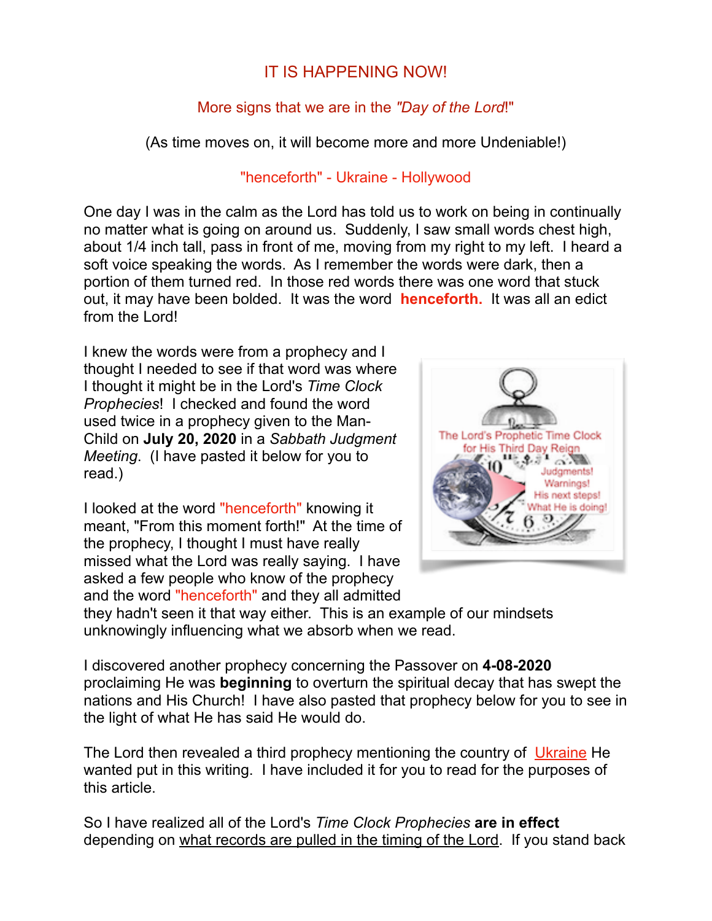# IT IS HAPPENING NOW!

# More signs that we are in the *"Day of the Lord*!"

(As time moves on, it will become more and more Undeniable!)

### "henceforth" - Ukraine - Hollywood

One day I was in the calm as the Lord has told us to work on being in continually no matter what is going on around us. Suddenly, I saw small words chest high, about 1/4 inch tall, pass in front of me, moving from my right to my left. I heard a soft voice speaking the words. As I remember the words were dark, then a portion of them turned red. In those red words there was one word that stuck out, it may have been bolded. It was the word **henceforth.** It was all an edict from the Lord!

I knew the words were from a prophecy and I thought I needed to see if that word was where I thought it might be in the Lord's *Time Clock Prophecies*! I checked and found the word used twice in a prophecy given to the Man-Child on **July 20, 2020** in a *Sabbath Judgment Meeting*. (I have pasted it below for you to read.)

I looked at the word "henceforth" knowing it meant, "From this moment forth!" At the time of the prophecy, I thought I must have really missed what the Lord was really saying. I have asked a few people who know of the prophecy and the word "henceforth" and they all admitted



they hadn't seen it that way either. This is an example of our mindsets unknowingly influencing what we absorb when we read.

I discovered another prophecy concerning the Passover on **4-08-2020** proclaiming He was **beginning** to overturn the spiritual decay that has swept the nations and His Church! I have also pasted that prophecy below for you to see in the light of what He has said He would do.

The Lord then revealed a third prophecy mentioning the country of Ukraine He wanted put in this writing. I have included it for you to read for the purposes of this article.

So I have realized all of the Lord's *Time Clock Prophecies* **are in effect** depending on what records are pulled in the timing of the Lord. If you stand back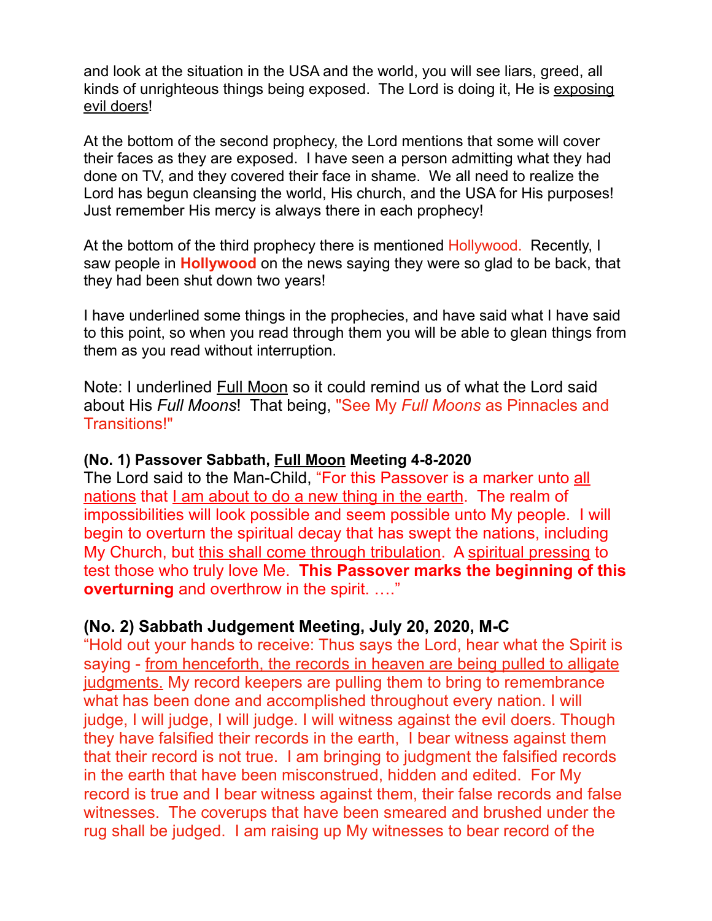and look at the situation in the USA and the world, you will see liars, greed, all kinds of unrighteous things being exposed. The Lord is doing it, He is exposing evil doers!

At the bottom of the second prophecy, the Lord mentions that some will cover their faces as they are exposed. I have seen a person admitting what they had done on TV, and they covered their face in shame. We all need to realize the Lord has begun cleansing the world, His church, and the USA for His purposes! Just remember His mercy is always there in each prophecy!

At the bottom of the third prophecy there is mentioned Hollywood. Recently, I saw people in **Hollywood** on the news saying they were so glad to be back, that they had been shut down two years!

I have underlined some things in the prophecies, and have said what I have said to this point, so when you read through them you will be able to glean things from them as you read without interruption.

Note: I underlined Full Moon so it could remind us of what the Lord said about His *Full Moons*! That being, "See My *Full Moons* as Pinnacles and Transitions!"

#### **(No. 1) Passover Sabbath, Full Moon Meeting 4-8-2020**

The Lord said to the Man-Child, "For this Passover is a marker unto all nations that I am about to do a new thing in the earth. The realm of impossibilities will look possible and seem possible unto My people. I will begin to overturn the spiritual decay that has swept the nations, including My Church, but this shall come through tribulation. A spiritual pressing to test those who truly love Me. **This Passover marks the beginning of this overturning** and overthrow in the spirit. ...."

### **(No. 2) Sabbath Judgement Meeting, July 20, 2020, M-C**

"Hold out your hands to receive: Thus says the Lord, hear what the Spirit is saying - from henceforth, the records in heaven are being pulled to alligate judgments. My record keepers are pulling them to bring to remembrance what has been done and accomplished throughout every nation. I will judge, I will judge, I will judge. I will witness against the evil doers. Though they have falsified their records in the earth, I bear witness against them that their record is not true. I am bringing to judgment the falsified records in the earth that have been misconstrued, hidden and edited. For My record is true and I bear witness against them, their false records and false witnesses. The coverups that have been smeared and brushed under the rug shall be judged. I am raising up My witnesses to bear record of the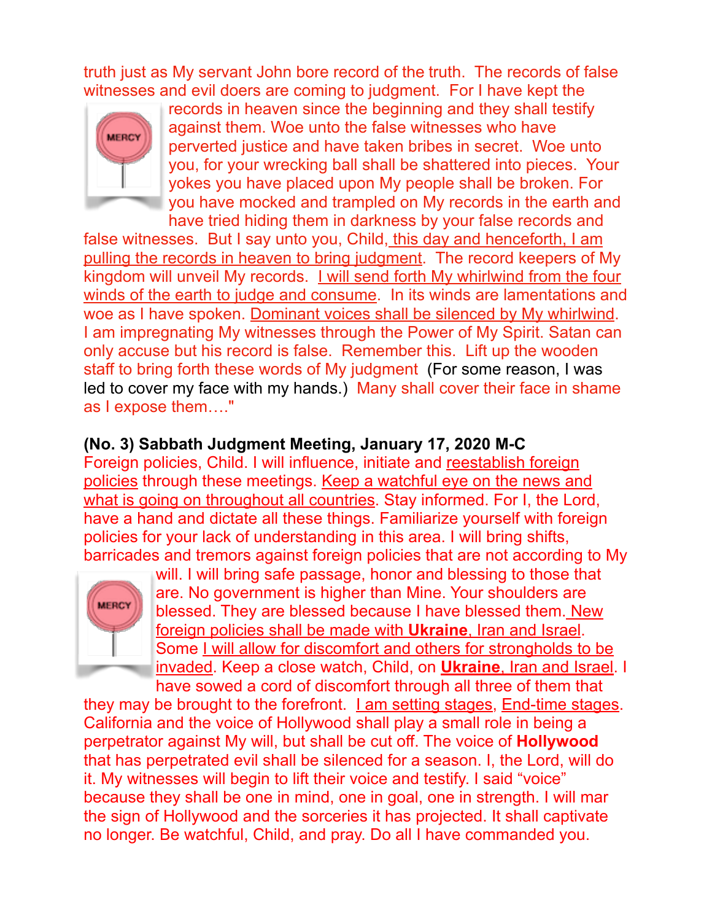truth just as My servant John bore record of the truth. The records of false witnesses and evil doers are coming to judgment. For I have kept the



records in heaven since the beginning and they shall testify against them. Woe unto the false witnesses who have perverted justice and have taken bribes in secret. Woe unto you, for your wrecking ball shall be shattered into pieces. Your yokes you have placed upon My people shall be broken. For you have mocked and trampled on My records in the earth and have tried hiding them in darkness by your false records and

false witnesses. But I say unto you, Child, this day and henceforth, I am pulling the records in heaven to bring judgment. The record keepers of My kingdom will unveil My records. I will send forth My whirlwind from the four winds of the earth to judge and consume. In its winds are lamentations and woe as I have spoken. Dominant voices shall be silenced by My whirlwind. I am impregnating My witnesses through the Power of My Spirit. Satan can only accuse but his record is false. Remember this. Lift up the wooden staff to bring forth these words of My judgment (For some reason, I was led to cover my face with my hands.) Many shall cover their face in shame as I expose them…."

## **(No. 3) Sabbath Judgment Meeting, January 17, 2020 M-C**

Foreign policies, Child. I will influence, initiate and reestablish foreign policies through these meetings. Keep a watchful eye on the news and what is going on throughout all countries. Stay informed. For I, the Lord, have a hand and dictate all these things. Familiarize yourself with foreign policies for your lack of understanding in this area. I will bring shifts, barricades and tremors against foreign policies that are not according to My



will. I will bring safe passage, honor and blessing to those that are. No government is higher than Mine. Your shoulders are blessed. They are blessed because I have blessed them. New foreign policies shall be made with **Ukraine**, Iran and Israel. Some I will allow for discomfort and others for strongholds to be invaded. Keep a close watch, Child, on **Ukraine**, Iran and Israel. I have sowed a cord of discomfort through all three of them that

they may be brought to the forefront. I am setting stages, End-time stages. California and the voice of Hollywood shall play a small role in being a perpetrator against My will, but shall be cut off. The voice of **Hollywood** that has perpetrated evil shall be silenced for a season. I, the Lord, will do it. My witnesses will begin to lift their voice and testify. I said "voice" because they shall be one in mind, one in goal, one in strength. I will mar the sign of Hollywood and the sorceries it has projected. It shall captivate no longer. Be watchful, Child, and pray. Do all I have commanded you.